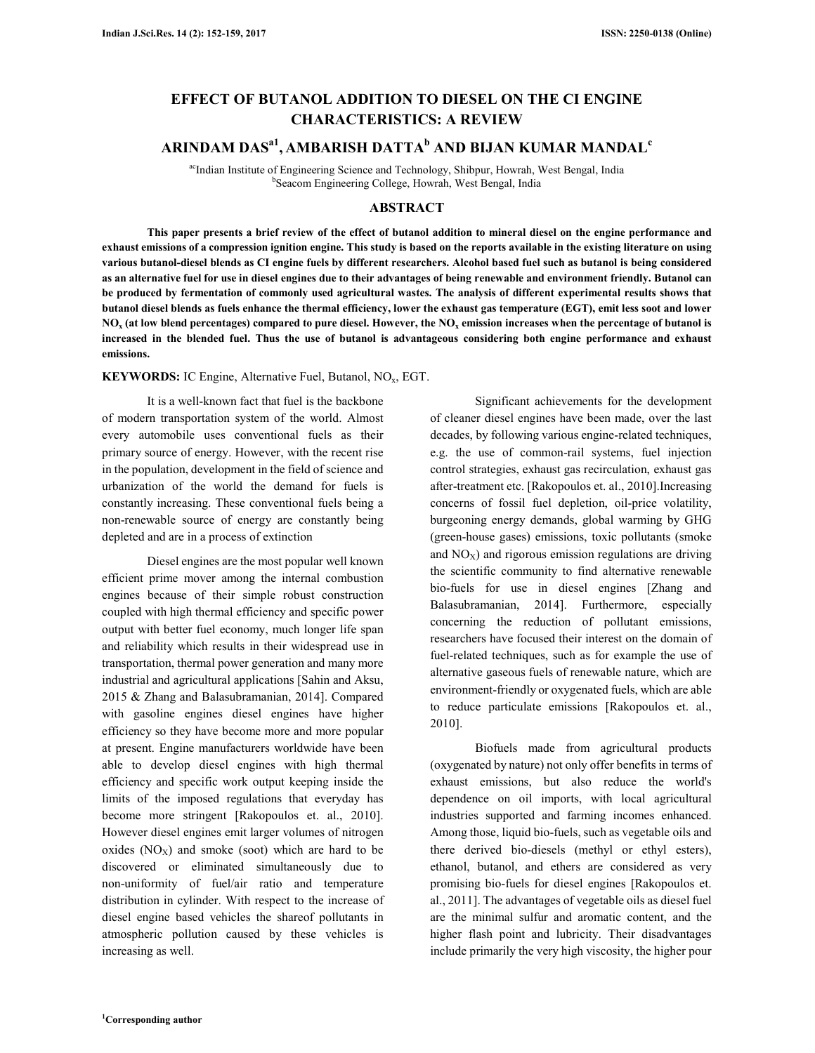# **EFFECT OF BUTANOL ADDITION TO DIESEL ON THE CI ENGINE CHARACTERISTICS: A REVIEW**

# **ARINDAM DASa1 , AMBARISH DATTA<sup>b</sup> AND BIJAN KUMAR MANDAL<sup>c</sup>**

acIndian Institute of Engineering Science and Technology, Shibpur, Howrah, West Bengal, India b Seacom Engineering College, Howrah, West Bengal, India

# **ABSTRACT**

**This paper presents a brief review of the effect of butanol addition to mineral diesel on the engine performance and exhaust emissions of a compression ignition engine. This study is based on the reports available in the existing literature on using various butanol-diesel blends as CI engine fuels by different researchers. Alcohol based fuel such as butanol is being considered as an alternative fuel for use in diesel engines due to their advantages of being renewable and environment friendly. Butanol can be produced by fermentation of commonly used agricultural wastes. The analysis of different experimental results shows that butanol diesel blends as fuels enhance the thermal efficiency, lower the exhaust gas temperature (EGT), emit less soot and lower**   $NO_{\rm x}$  (at low blend percentages) compared to pure diesel. However, the  $NO_{\rm x}$  emission increases when the percentage of butanol is **increased in the blended fuel. Thus the use of butanol is advantageous considering both engine performance and exhaust emissions.** 

**KEYWORDS:** IC Engine, Alternative Fuel, Butanol, NO<sub>x</sub>, EGT.

It is a well-known fact that fuel is the backbone of modern transportation system of the world. Almost every automobile uses conventional fuels as their primary source of energy. However, with the recent rise in the population, development in the field of science and urbanization of the world the demand for fuels is constantly increasing. These conventional fuels being a non-renewable source of energy are constantly being depleted and are in a process of extinction

Diesel engines are the most popular well known efficient prime mover among the internal combustion engines because of their simple robust construction coupled with high thermal efficiency and specific power output with better fuel economy, much longer life span and reliability which results in their widespread use in transportation, thermal power generation and many more industrial and agricultural applications [Sahin and Aksu, 2015 & Zhang and Balasubramanian, 2014]. Compared with gasoline engines diesel engines have higher efficiency so they have become more and more popular at present. Engine manufacturers worldwide have been able to develop diesel engines with high thermal efficiency and specific work output keeping inside the limits of the imposed regulations that everyday has become more stringent [Rakopoulos et. al., 2010]. However diesel engines emit larger volumes of nitrogen oxides  $(NO<sub>X</sub>)$  and smoke (soot) which are hard to be discovered or eliminated simultaneously due to non-uniformity of fuel/air ratio and temperature distribution in cylinder. With respect to the increase of diesel engine based vehicles the shareof pollutants in atmospheric pollution caused by these vehicles is increasing as well.

Significant achievements for the development of cleaner diesel engines have been made, over the last decades, by following various engine-related techniques, e.g. the use of common-rail systems, fuel injection control strategies, exhaust gas recirculation, exhaust gas after-treatment etc. [Rakopoulos et. al., 2010].Increasing concerns of fossil fuel depletion, oil-price volatility, burgeoning energy demands, global warming by GHG (green-house gases) emissions, toxic pollutants (smoke and  $NO<sub>x</sub>$ ) and rigorous emission regulations are driving the scientific community to find alternative renewable bio-fuels for use in diesel engines [Zhang and Balasubramanian, 2014]. Furthermore, especially concerning the reduction of pollutant emissions, researchers have focused their interest on the domain of fuel-related techniques, such as for example the use of alternative gaseous fuels of renewable nature, which are environment-friendly or oxygenated fuels, which are able to reduce particulate emissions [Rakopoulos et. al., 2010].

Biofuels made from agricultural products (oxygenated by nature) not only offer benefits in terms of exhaust emissions, but also reduce the world's dependence on oil imports, with local agricultural industries supported and farming incomes enhanced. Among those, liquid bio-fuels, such as vegetable oils and there derived bio-diesels (methyl or ethyl esters), ethanol, butanol, and ethers are considered as very promising bio-fuels for diesel engines [Rakopoulos et. al., 2011]. The advantages of vegetable oils as diesel fuel are the minimal sulfur and aromatic content, and the higher flash point and lubricity. Their disadvantages include primarily the very high viscosity, the higher pour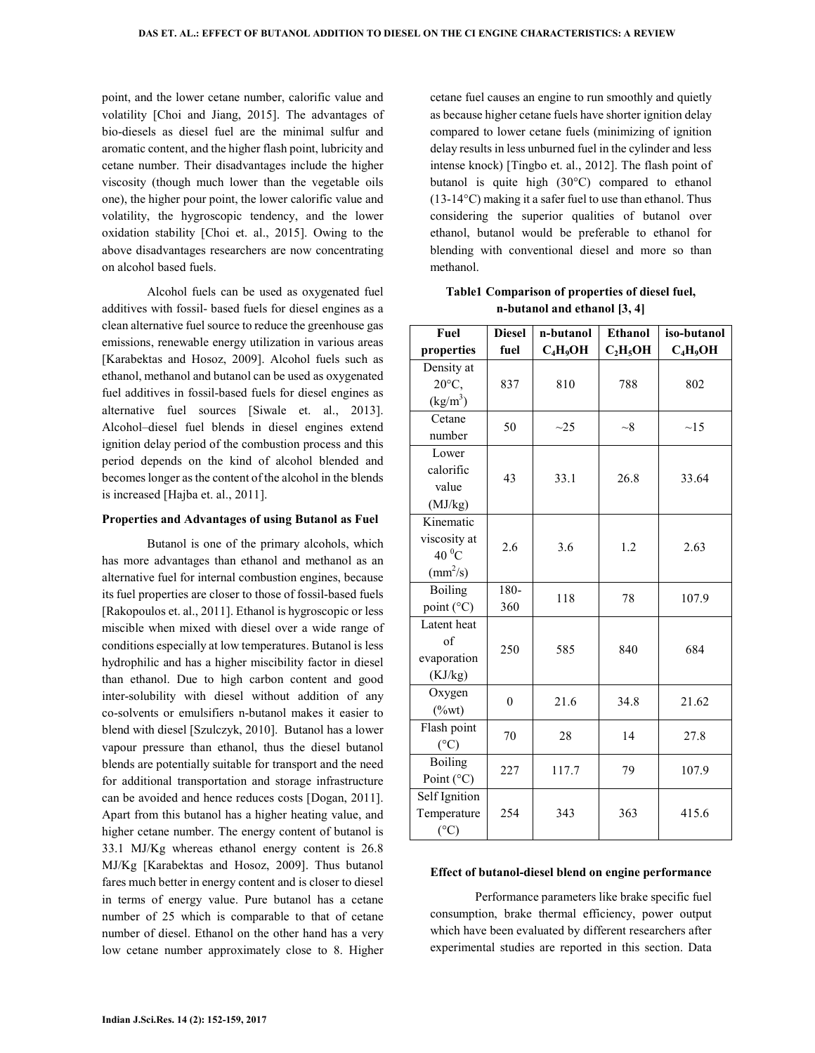point, and the lower cetane number, calorific value and volatility [Choi and Jiang, 2015]. The advantages of bio-diesels as diesel fuel are the minimal sulfur and aromatic content, and the higher flash point, lubricity and cetane number. Their disadvantages include the higher viscosity (though much lower than the vegetable oils one), the higher pour point, the lower calorific value and volatility, the hygroscopic tendency, and the lower oxidation stability [Choi et. al., 2015]. Owing to the above disadvantages researchers are now concentrating on alcohol based fuels.

Alcohol fuels can be used as oxygenated fuel additives with fossil- based fuels for diesel engines as a clean alternative fuel source to reduce the greenhouse gas emissions, renewable energy utilization in various areas [Karabektas and Hosoz, 2009]. Alcohol fuels such as ethanol, methanol and butanol can be used as oxygenated fuel additives in fossil-based fuels for diesel engines as alternative fuel sources [Siwale et. al., 2013]. Alcohol–diesel fuel blends in diesel engines extend ignition delay period of the combustion process and this period depends on the kind of alcohol blended and becomes longer as the content of the alcohol in the blends is increased [Hajba et. al., 2011].

### **Properties and Advantages of using Butanol as Fuel**

Butanol is one of the primary alcohols, which has more advantages than ethanol and methanol as an alternative fuel for internal combustion engines, because its fuel properties are closer to those of fossil-based fuels [Rakopoulos et. al., 2011]. Ethanol is hygroscopic or less miscible when mixed with diesel over a wide range of conditions especially at low temperatures. Butanol is less hydrophilic and has a higher miscibility factor in diesel than ethanol. Due to high carbon content and good inter-solubility with diesel without addition of any co-solvents or emulsifiers n-butanol makes it easier to blend with diesel [Szulczyk, 2010]. Butanol has a lower vapour pressure than ethanol, thus the diesel butanol blends are potentially suitable for transport and the need for additional transportation and storage infrastructure can be avoided and hence reduces costs [Dogan, 2011]. Apart from this butanol has a higher heating value, and higher cetane number. The energy content of butanol is 33.1 MJ/Kg whereas ethanol energy content is 26.8 MJ/Kg [Karabektas and Hosoz, 2009]. Thus butanol fares much better in energy content and is closer to diesel in terms of energy value. Pure butanol has a cetane number of 25 which is comparable to that of cetane number of diesel. Ethanol on the other hand has a very low cetane number approximately close to 8. Higher cetane fuel causes an engine to run smoothly and quietly as because higher cetane fuels have shorter ignition delay compared to lower cetane fuels (minimizing of ignition delay results in less unburned fuel in the cylinder and less intense knock) [Tingbo et. al., 2012]. The flash point of butanol is quite high (30°C) compared to ethanol (13-14°C) making it a safer fuel to use than ethanol. Thus considering the superior qualities of butanol over ethanol, butanol would be preferable to ethanol for blending with conventional diesel and more so than methanol.

**Table1 Comparison of properties of diesel fuel, n-butanol and ethanol [3, 4]** 

| Fuel                     | <b>Diesel</b> | n-butanol  | <b>Ethanol</b> | iso-butanol |
|--------------------------|---------------|------------|----------------|-------------|
| properties               | fuel          | $C_4H_9OH$ | $C_2H_5OH$     | $C_4H_9OH$  |
| Density at               |               |            |                |             |
| 20°C,                    | 837           | 810        | 788            | 802         |
| (kg/m <sup>3</sup> )     |               |            |                |             |
| Cetane                   | 50            | $\sim$ 25  | $\sim 8$       | $\sim$ 15   |
| number                   |               |            |                |             |
| Lower                    |               |            |                |             |
| calorific                | 43            | 33.1       | 26.8           | 33.64       |
| value                    |               |            |                |             |
| (MJ/kg)                  |               |            |                |             |
| Kinematic                |               |            |                |             |
| viscosity at             | 2.6           | 3.6        | 1.2            | 2.63        |
| 40 $\rm ^{0}C$           |               |            |                |             |
| $\text{(mm}^2/\text{s})$ |               |            |                |             |
| <b>Boiling</b>           | 180-          | 118        | 78             | 107.9       |
| point (°C)               | 360           |            |                |             |
| Latent heat              |               |            |                |             |
| of                       | 250           | 585        | 840            | 684         |
| evaporation              |               |            |                |             |
| (KJ/kg)                  |               |            |                |             |
| Oxygen                   | $\theta$      | 21.6       | 34.8           | 21.62       |
| $(\%wt)$                 |               |            |                |             |
| Flash point              | 70            | 28         | 14             | 27.8        |
| $(^{\circ}C)$            |               |            |                |             |
| <b>Boiling</b>           | 227           | 117.7      | 79             | 107.9       |
| Point (°C)               |               |            |                |             |
| Self Ignition            |               |            |                |             |
| Temperature              | 254           | 343        | 363            | 415.6       |
| (°C)                     |               |            |                |             |

#### **Effect of butanol-diesel blend on engine performance**

Performance parameters like brake specific fuel consumption, brake thermal efficiency, power output which have been evaluated by different researchers after experimental studies are reported in this section. Data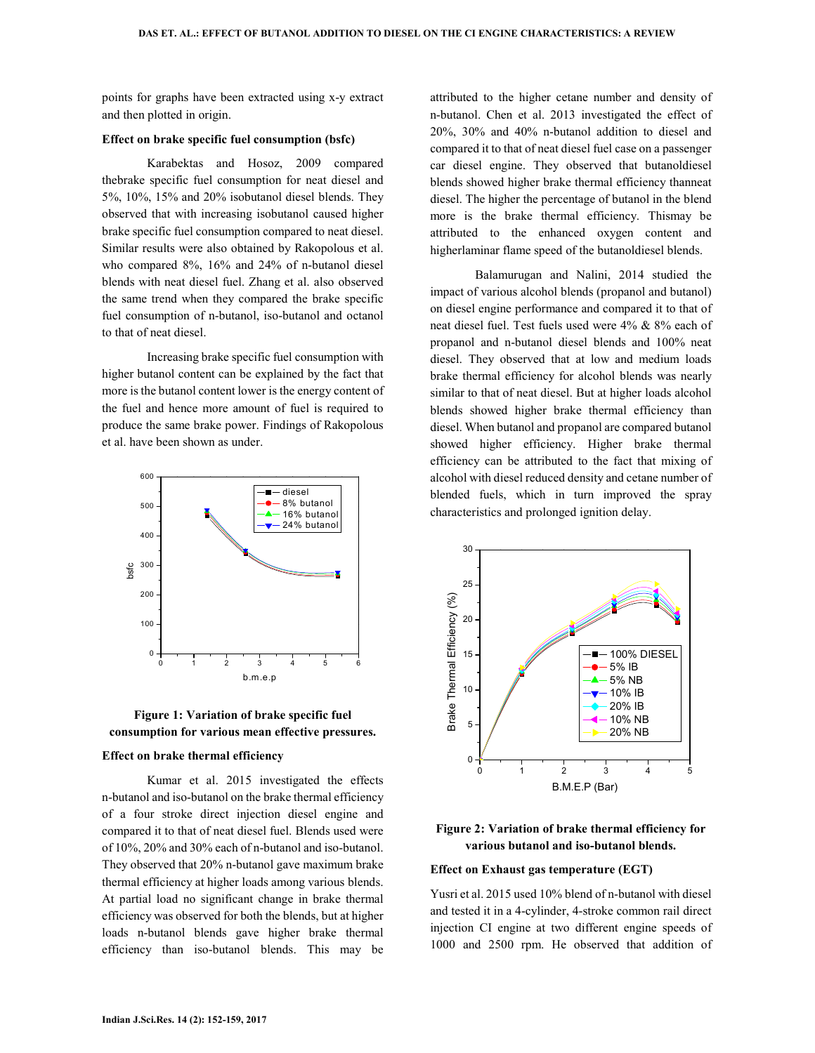points for graphs have been extracted using x-y extract and then plotted in origin.

### **Effect on brake specific fuel consumption (bsfc)**

Karabektas and Hosoz, 2009 compared thebrake specific fuel consumption for neat diesel and 5%, 10%, 15% and 20% isobutanol diesel blends. They observed that with increasing isobutanol caused higher brake specific fuel consumption compared to neat diesel. Similar results were also obtained by Rakopolous et al. who compared 8%, 16% and 24% of n-butanol diesel blends with neat diesel fuel. Zhang et al. also observed the same trend when they compared the brake specific fuel consumption of n-butanol, iso-butanol and octanol to that of neat diesel.

Increasing brake specific fuel consumption with higher butanol content can be explained by the fact that more is the butanol content lower is the energy content of the fuel and hence more amount of fuel is required to produce the same brake power. Findings of Rakopolous et al. have been shown as under.





#### **Effect on brake thermal efficiency**

Kumar et al. 2015 investigated the effects n-butanol and iso-butanol on the brake thermal efficiency of a four stroke direct injection diesel engine and compared it to that of neat diesel fuel. Blends used were of 10%, 20% and 30% each of n-butanol and iso-butanol. They observed that 20% n-butanol gave maximum brake thermal efficiency at higher loads among various blends. At partial load no significant change in brake thermal efficiency was observed for both the blends, but at higher loads n-butanol blends gave higher brake thermal efficiency than iso-butanol blends. This may be attributed to the higher cetane number and density of n-butanol. Chen et al. 2013 investigated the effect of 20%, 30% and 40% n-butanol addition to diesel and compared it to that of neat diesel fuel case on a passenger car diesel engine. They observed that butanoldiesel blends showed higher brake thermal efficiency thanneat diesel. The higher the percentage of butanol in the blend more is the brake thermal efficiency. Thismay be attributed to the enhanced oxygen content and higherlaminar flame speed of the butanoldiesel blends.

Balamurugan and Nalini, 2014 studied the impact of various alcohol blends (propanol and butanol) on diesel engine performance and compared it to that of neat diesel fuel. Test fuels used were 4% & 8% each of propanol and n-butanol diesel blends and 100% neat diesel. They observed that at low and medium loads brake thermal efficiency for alcohol blends was nearly similar to that of neat diesel. But at higher loads alcohol blends showed higher brake thermal efficiency than diesel. When butanol and propanol are compared butanol showed higher efficiency. Higher brake thermal efficiency can be attributed to the fact that mixing of alcohol with diesel reduced density and cetane number of blended fuels, which in turn improved the spray characteristics and prolonged ignition delay.



# **Figure 2: Variation of brake thermal efficiency for various butanol and iso-butanol blends.**

#### **Effect on Exhaust gas temperature (EGT)**

Yusri et al. 2015 used 10% blend of n-butanol with diesel and tested it in a 4-cylinder, 4-stroke common rail direct injection CI engine at two different engine speeds of 1000 and 2500 rpm. He observed that addition of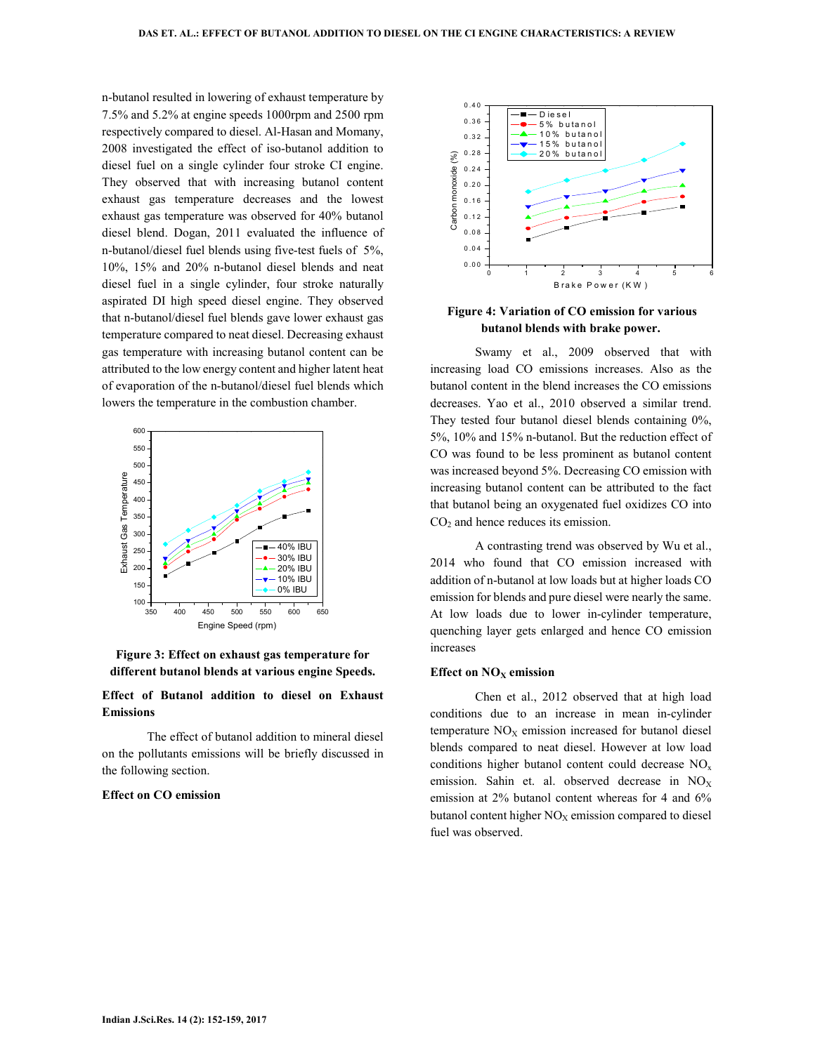n-butanol resulted in lowering of exhaust temperature by 7.5% and 5.2% at engine speeds 1000rpm and 2500 rpm respectively compared to diesel. Al-Hasan and Momany, 2008 investigated the effect of iso-butanol addition to diesel fuel on a single cylinder four stroke CI engine. They observed that with increasing butanol content exhaust gas temperature decreases and the lowest exhaust gas temperature was observed for 40% butanol diesel blend. Dogan, 2011 evaluated the influence of n-butanol/diesel fuel blends using five-test fuels of 5%, 10%, 15% and 20% n-butanol diesel blends and neat diesel fuel in a single cylinder, four stroke naturally aspirated DI high speed diesel engine. They observed that n-butanol/diesel fuel blends gave lower exhaust gas temperature compared to neat diesel. Decreasing exhaust gas temperature with increasing butanol content can be attributed to the low energy content and higher latent heat of evaporation of the n-butanol/diesel fuel blends which lowers the temperature in the combustion chamber.



**Figure 3: Effect on exhaust gas temperature for different butanol blends at various engine Speeds.** 

# **Effect of Butanol addition to diesel on Exhaust Emissions**

The effect of butanol addition to mineral diesel on the pollutants emissions will be briefly discussed in the following section.

### **Effect on CO emission**



### **Figure 4: Variation of CO emission for various butanol blends with brake power.**

Swamy et al., 2009 observed that with increasing load CO emissions increases. Also as the butanol content in the blend increases the CO emissions decreases. Yao et al., 2010 observed a similar trend. They tested four butanol diesel blends containing 0%, 5%, 10% and 15% n-butanol. But the reduction effect of CO was found to be less prominent as butanol content was increased beyond 5%. Decreasing CO emission with increasing butanol content can be attributed to the fact that butanol being an oxygenated fuel oxidizes CO into CO<sub>2</sub> and hence reduces its emission.

A contrasting trend was observed by Wu et al., 2014 who found that CO emission increased with addition of n-butanol at low loads but at higher loads CO emission for blends and pure diesel were nearly the same. At low loads due to lower in-cylinder temperature, quenching layer gets enlarged and hence CO emission increases

### **Effect on NOX emission**

Chen et al., 2012 observed that at high load conditions due to an increase in mean in-cylinder temperature  $NO<sub>X</sub>$  emission increased for butanol diesel blends compared to neat diesel. However at low load conditions higher butanol content could decrease  $NO<sub>x</sub>$ emission. Sahin et. al. observed decrease in  $NO<sub>x</sub>$ emission at 2% butanol content whereas for 4 and 6% butanol content higher  $NO<sub>X</sub>$  emission compared to diesel fuel was observed.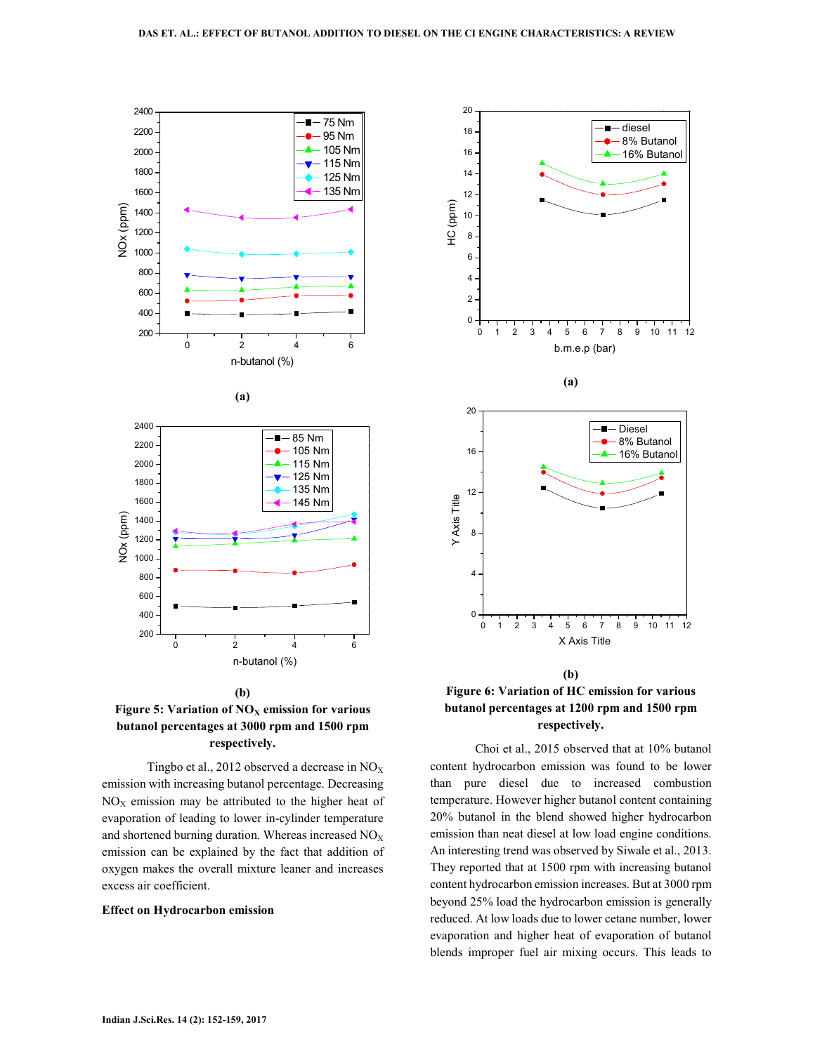



Tingbo et al., 2012 observed a decrease in  $NO<sub>X</sub>$ emission with increasing butanol percentage. Decreasing  $NO<sub>X</sub>$  emission may be attributed to the higher heat of evaporation of leading to lower in-cylinder temperature and shortened burning duration. Whereas increased  $NO<sub>X</sub>$ emission can be explained by the fact that addition of oxygen makes the overall mixture leaner and increases excess air coefficient.

### **Effect on Hydrocarbon emission**









Choi et al., 2015 observed that at 10% butanol content hydrocarbon emission was found to be lower than pure diesel due to increased combustion temperature. However higher butanol content containing 20% butanol in the blend showed higher hydrocarbon emission than neat diesel at low load engine conditions. An interesting trend was observed by Siwale et al., 2013. They reported that at 1500 rpm with increasing butanol content hydrocarbon emission increases. But at 3000 rpm beyond 25% load the hydrocarbon emission is generally reduced. At low loads due to lower cetane number, lower evaporation and higher heat of evaporation of butanol blends improper fuel air mixing occurs. This leads to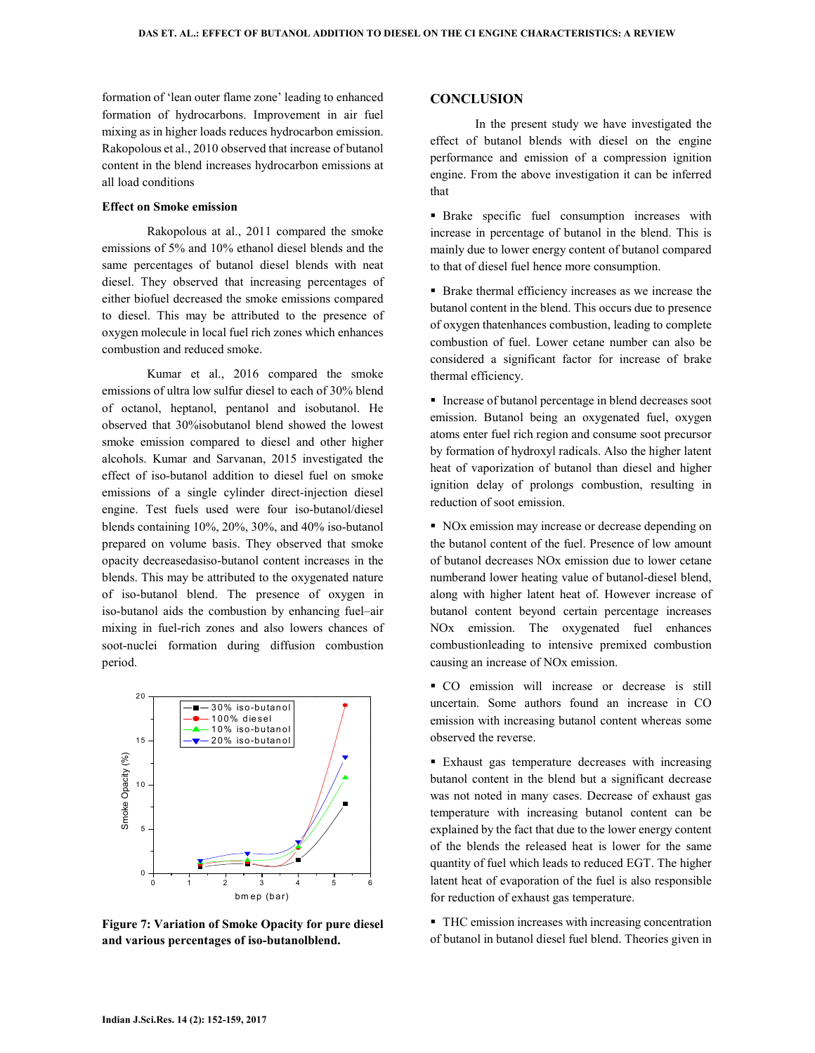formation of 'lean outer flame zone' leading to enhanced formation of hydrocarbons. Improvement in air fuel mixing as in higher loads reduces hydrocarbon emission. Rakopolous et al., 2010 observed that increase of butanol content in the blend increases hydrocarbon emissions at all load conditions

#### **Effect on Smoke emission**

Rakopolous at al., 2011 compared the smoke emissions of 5% and 10% ethanol diesel blends and the same percentages of butanol diesel blends with neat diesel. They observed that increasing percentages of either biofuel decreased the smoke emissions compared to diesel. This may be attributed to the presence of oxygen molecule in local fuel rich zones which enhances combustion and reduced smoke.

Kumar et al., 2016 compared the smoke emissions of ultra low sulfur diesel to each of 30% blend of octanol, heptanol, pentanol and isobutanol. He observed that 30%isobutanol blend showed the lowest smoke emission compared to diesel and other higher alcohols. Kumar and Sarvanan, 2015 investigated the effect of iso-butanol addition to diesel fuel on smoke emissions of a single cylinder direct-injection diesel engine. Test fuels used were four iso-butanol/diesel blends containing 10%, 20%, 30%, and 40% iso-butanol prepared on volume basis. They observed that smoke opacity decreasedasiso-butanol content increases in the blends. This may be attributed to the oxygenated nature of iso-butanol blend. The presence of oxygen in iso-butanol aids the combustion by enhancing fuel–air mixing in fuel-rich zones and also lowers chances of soot-nuclei formation during diffusion combustion period.



**Figure 7: Variation of Smoke Opacity for pure diesel and various percentages of iso-butanolblend.** 

# **CONCLUSION**

In the present study we have investigated the effect of butanol blends with diesel on the engine performance and emission of a compression ignition engine. From the above investigation it can be inferred that

 Brake specific fuel consumption increases with increase in percentage of butanol in the blend. This is mainly due to lower energy content of butanol compared to that of diesel fuel hence more consumption.

 Brake thermal efficiency increases as we increase the butanol content in the blend. This occurs due to presence of oxygen thatenhances combustion, leading to complete combustion of fuel. Lower cetane number can also be considered a significant factor for increase of brake thermal efficiency.

 Increase of butanol percentage in blend decreases soot emission. Butanol being an oxygenated fuel, oxygen atoms enter fuel rich region and consume soot precursor by formation of hydroxyl radicals. Also the higher latent heat of vaporization of butanol than diesel and higher ignition delay of prolongs combustion, resulting in reduction of soot emission.

NO<sub>x</sub> emission may increase or decrease depending on the butanol content of the fuel. Presence of low amount of butanol decreases NOx emission due to lower cetane numberand lower heating value of butanol-diesel blend, along with higher latent heat of. However increase of butanol content beyond certain percentage increases NOx emission. The oxygenated fuel enhances combustionleading to intensive premixed combustion causing an increase of NOx emission.

 CO emission will increase or decrease is still uncertain. Some authors found an increase in CO emission with increasing butanol content whereas some observed the reverse.

 Exhaust gas temperature decreases with increasing butanol content in the blend but a significant decrease was not noted in many cases. Decrease of exhaust gas temperature with increasing butanol content can be explained by the fact that due to the lower energy content of the blends the released heat is lower for the same quantity of fuel which leads to reduced EGT. The higher latent heat of evaporation of the fuel is also responsible for reduction of exhaust gas temperature.

 THC emission increases with increasing concentration of butanol in butanol diesel fuel blend. Theories given in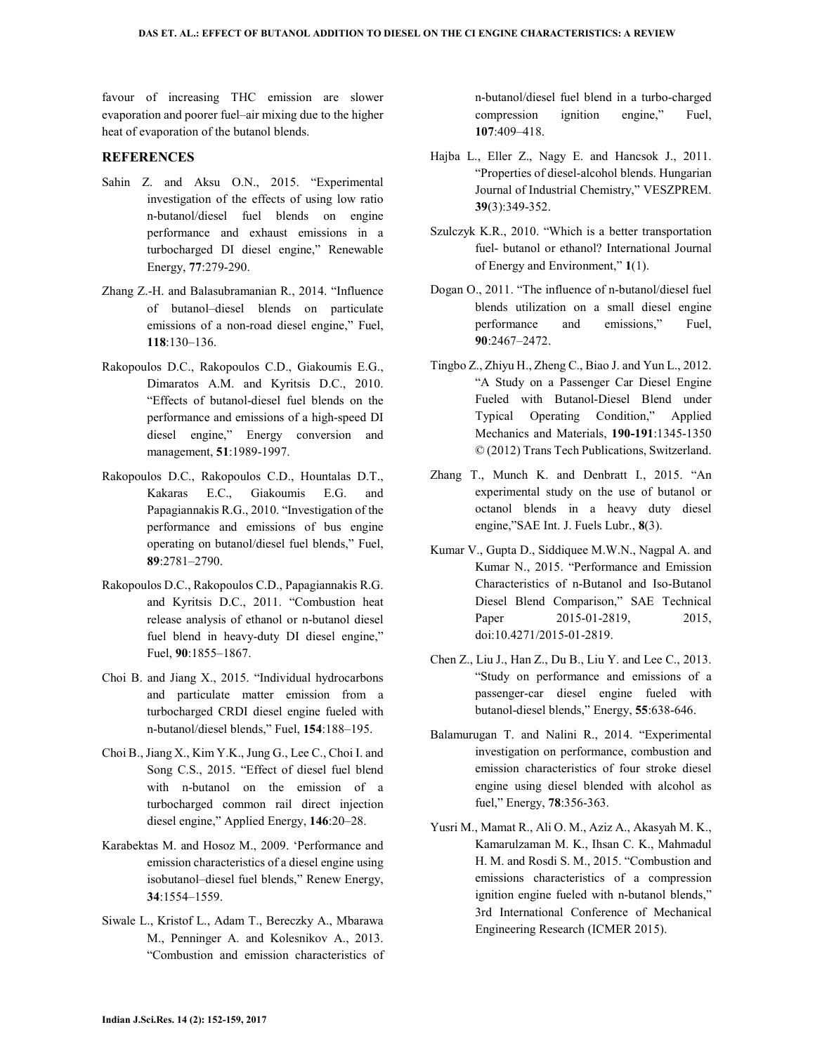favour of increasing THC emission are slower evaporation and poorer fuel–air mixing due to the higher heat of evaporation of the butanol blends.

# **REFERENCES**

- Sahin Z. and Aksu O.N., 2015. "Experimental investigation of the effects of using low ratio n-butanol/diesel fuel blends on engine performance and exhaust emissions in a turbocharged DI diesel engine," Renewable Energy, **77**:279-290.
- Zhang Z.-H. and Balasubramanian R., 2014. "Influence of butanol–diesel blends on particulate emissions of a non-road diesel engine," Fuel, **118**:130–136.
- Rakopoulos D.C., Rakopoulos C.D., Giakoumis E.G., Dimaratos A.M. and Kyritsis D.C., 2010. "Effects of butanol-diesel fuel blends on the performance and emissions of a high-speed DI diesel engine," Energy conversion and management, **51**:1989-1997.
- Rakopoulos D.C., Rakopoulos C.D., Hountalas D.T., Kakaras E.C., Giakoumis E.G. and Papagiannakis R.G., 2010. "Investigation of the performance and emissions of bus engine operating on butanol/diesel fuel blends," Fuel, **89**:2781–2790.
- Rakopoulos D.C., Rakopoulos C.D., Papagiannakis R.G. and Kyritsis D.C., 2011. "Combustion heat release analysis of ethanol or n-butanol diesel fuel blend in heavy-duty DI diesel engine," Fuel, **90**:1855–1867.
- Choi B. and Jiang X., 2015. "Individual hydrocarbons and particulate matter emission from a turbocharged CRDI diesel engine fueled with n-butanol/diesel blends," Fuel, **154**:188–195.
- Choi B., Jiang X., Kim Y.K., Jung G., Lee C., Choi I. and Song C.S., 2015. "Effect of diesel fuel blend with n-butanol on the emission of a turbocharged common rail direct injection diesel engine," Applied Energy, **146**:20–28.
- Karabektas M. and Hosoz M., 2009. 'Performance and emission characteristics of a diesel engine using isobutanol–diesel fuel blends," Renew Energy, **34**:1554–1559.
- Siwale L., Kristof L., Adam T., Bereczky A., Mbarawa M., Penninger A. and Kolesnikov A., 2013. "Combustion and emission characteristics of

n-butanol/diesel fuel blend in a turbo-charged compression ignition engine," Fuel, **107**:409–418.

- Hajba L., Eller Z., Nagy E. and Hancsok J., 2011. "Properties of diesel-alcohol blends. Hungarian Journal of Industrial Chemistry," VESZPREM. **39**(3):349-352.
- Szulczyk K.R., 2010. "Which is a better transportation fuel- butanol or ethanol? International Journal of Energy and Environment," **1**(1).
- Dogan O., 2011. "The influence of n-butanol/diesel fuel blends utilization on a small diesel engine performance and emissions," Fuel, **90**:2467–2472.
- Tingbo Z., Zhiyu H., Zheng C., Biao J. and Yun L., 2012. "A Study on a Passenger Car Diesel Engine Fueled with Butanol-Diesel Blend under Typical Operating Condition," Applied Mechanics and Materials, **190-191**:1345-1350 © (2012) Trans Tech Publications, Switzerland.
- Zhang T., Munch K. and Denbratt I., 2015. "An experimental study on the use of butanol or octanol blends in a heavy duty diesel engine,"SAE Int. J. Fuels Lubr., **8**(3).
- Kumar V., Gupta D., Siddiquee M.W.N., Nagpal A. and Kumar N., 2015. "Performance and Emission Characteristics of n-Butanol and Iso-Butanol Diesel Blend Comparison," SAE Technical Paper 2015-01-2819, 2015, doi:10.4271/2015-01-2819.
- Chen Z., Liu J., Han Z., Du B., Liu Y. and Lee C., 2013. "Study on performance and emissions of a passenger-car diesel engine fueled with butanol-diesel blends," Energy, **55**:638-646.
- Balamurugan T. and Nalini R., 2014. "Experimental investigation on performance, combustion and emission characteristics of four stroke diesel engine using diesel blended with alcohol as fuel," Energy, **78**:356-363.
- Yusri M., Mamat R., Ali O. M., Aziz A., Akasyah M. K., Kamarulzaman M. K., Ihsan C. K., Mahmadul H. M. and Rosdi S. M., 2015. "Combustion and emissions characteristics of a compression ignition engine fueled with n-butanol blends," 3rd International Conference of Mechanical Engineering Research (ICMER 2015).